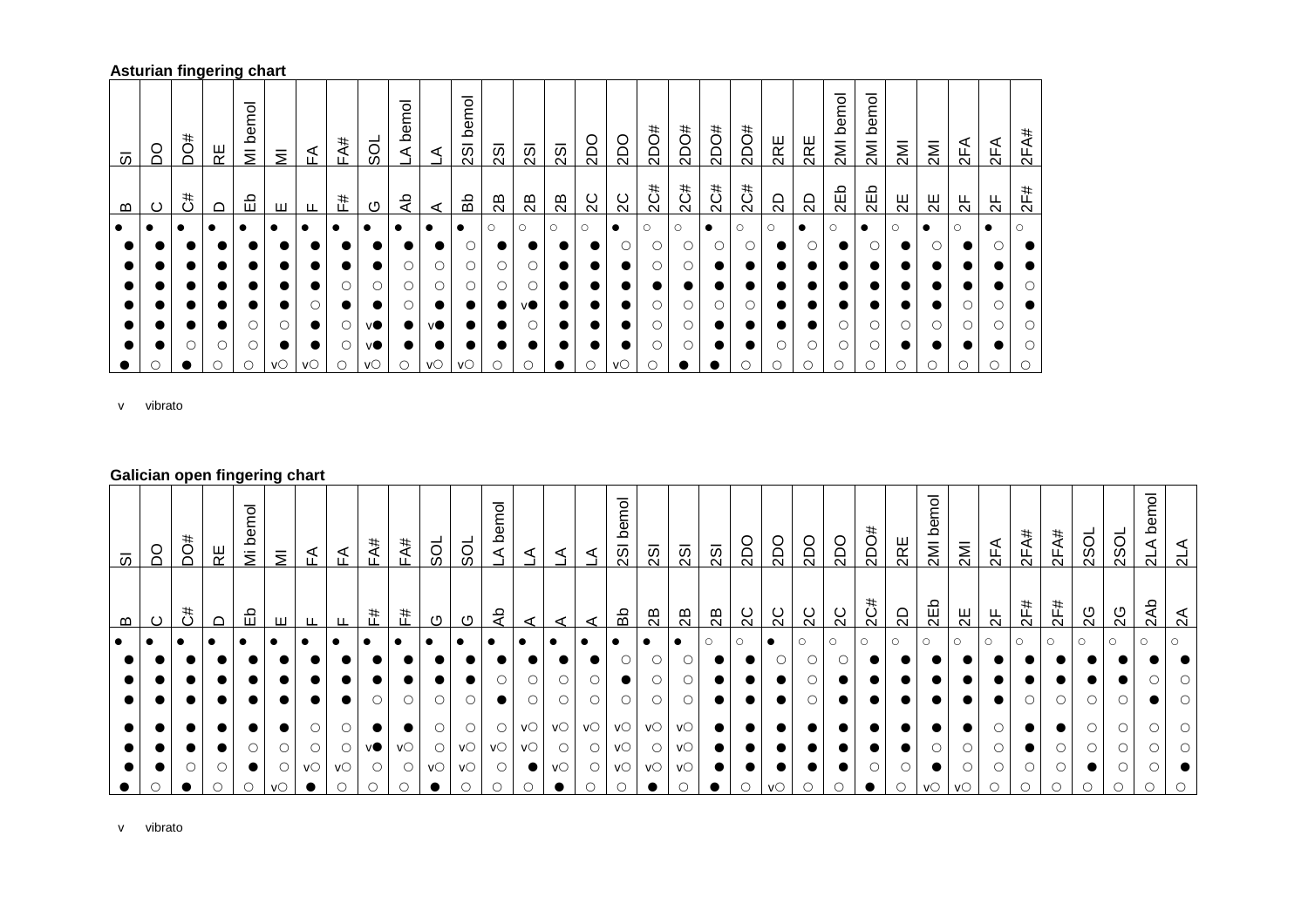## **Asturian fingering chart**

| 5                     | S | DO# | RΕ | bemol<br>$\overline{\overline{z}}$ | $\overline{z}$ | ₹                       | FA# | š           | bemol<br>⋖ | ⋖                    | bemol<br>$\overline{3}$ | $\overline{2}$ | $\overline{3}$ | $\overline{3}$ | 2DO     | <b>2DO</b> | #Oaz    | <b>#Oa2</b> | #Oaz      | #Oaz    | 2RE     | 2RE       | bemol<br>2M | bemol<br>IMIZ | 2M      | 2MI       | 2FA           | 2FA       | 2FA#    |
|-----------------------|---|-----|----|------------------------------------|----------------|-------------------------|-----|-------------|------------|----------------------|-------------------------|----------------|----------------|----------------|---------|------------|---------|-------------|-----------|---------|---------|-----------|-------------|---------------|---------|-----------|---------------|-----------|---------|
| $\boldsymbol{\omega}$ | ပ | 3   | ≏  | 띵                                  | ш              | ட                       | F#  | O           | ٩P         | ⋖                    | Вb                      | 28             | 28             | 28             | 2C      | 2C         | 2C#     | 2C#         | 2C#       | 2C#     | SD      | 2D        | 2Eb         | 2Eb           | $\Xi$   | 2E        | $\frac{1}{2}$ | 농         | 2F#     |
| $\bullet$             |   |     |    |                                    |                |                         |     | $\bullet$   |            | $\bullet$            | $\bullet$               | $\circ$        | $\circ$        | $\circ$        | $\circ$ | $\bullet$  | $\circ$ | $\circ$     | $\bullet$ | $\circ$ | $\circ$ | $\bullet$ | $\circ$     | $\bullet$     | $\circ$ | $\bullet$ | $\circ$       | $\bullet$ | $\circ$ |
|                       |   |     |    |                                    |                |                         |     |             |            |                      |                         |                |                |                |         |            |         |             |           | О       |         |           |             |               |         |           |               |           |         |
|                       |   |     |    |                                    |                |                         |     |             | Ο          |                      | О                       | O              |                |                |         |            | O       |             |           |         |         |           |             |               |         |           |               |           |         |
|                       |   |     |    |                                    |                |                         | O   |             | Ο          |                      |                         |                |                |                |         |            |         |             |           |         |         |           |             |               |         |           |               |           | ∩       |
|                       |   |     |    |                                    |                | ∩                       |     | $\bullet$   | Ο          |                      |                         |                | VO.            |                |         |            |         |             |           | O       |         |           |             |               |         |           |               |           |         |
|                       |   |     |    |                                    | О              | $\bullet$               | О   | vO.         |            | VO.                  |                         |                |                |                |         |            |         |             |           |         |         |           |             |               |         |           |               |           | ∩       |
|                       |   | ∩   |    | ∩                                  | $\bullet$      | $\bullet$               | О   | vO.         | $\bullet$  |                      |                         |                |                |                |         |            | ∩       |             |           |         |         |           |             |               |         |           |               |           | ()      |
|                       |   |     | O  | $\bigcirc$                         | VO             | $V^{\circlearrowright}$ | O   | $V^{\circ}$ | Ο          | $V\circlearrowright$ | VO                      | $\circ$        | С              |                |         | VO         |         |             |           | С       |         |           |             | С             |         | Ċ         |               | O         |         |

v vibrato

## **Galician open fingering chart**

| $\bullet$                                    | <b>芯</b><br>임<br>$\Omega$<br>മ<br>ပ | emol<br>504<br>$\Omega$<br>OQ<br>⊬<br>ミ<br>თ |
|----------------------------------------------|-------------------------------------|----------------------------------------------|
| $\bullet$<br>$\circ$<br>$\circ$              | ш<br>ட                              | ₹<br>≦<br>$\bar{z}$                          |
| $\circ$<br>٧O                                | F#                                  | FA#                                          |
| $\bigcirc$<br>$\circ$                        | F#<br>ு                             | FA#<br><b>SOL</b>                            |
| $\bullet$<br>$\circ$                         | O                                   | ್ದರ                                          |
| $\bullet$<br>VO<br>O                         | ٩                                   | ᅙ<br>Φ<br>≏<br>⋖                             |
| $\bullet$<br>VO<br>VO                        |                                     | ◁                                            |
| $\bigcirc$<br>VO<br>VO                       |                                     | ⋖<br>⋖                                       |
| $\circ$<br>VO<br>VO<br>$V^\circlearrowright$ | සි                                  | bemol<br>$\overline{25}$                     |
| VO<br>$\circ$                                | $\mathbb{B}$                        | $\overline{25}$                              |
| $\circ$<br>VO<br>VO                          | 28                                  | $\overline{2}$ SI                            |
| $\circ$<br>$\bullet$                         | 28                                  | 2S                                           |
|                                              | 2C                                  | 2DO                                          |
|                                              | SC.                                 | 2DQ                                          |
| $\circ$                                      | $\overline{c}$                      | 2DO                                          |
| $\circ$<br>$\bullet$                         | 2C                                  | Odz                                          |
|                                              | 2C#                                 | #<br>Öd                                      |
| $\circ$<br>$\bullet$                         | $\Omega$                            | 2RE                                          |
| $\circ$                                      | 2Eb                                 | mol<br>Φ<br>≏<br>2M                          |
| $\circ$                                      | 믱                                   | $\overline{\mathsf{M}}$                      |
| $\bigcirc$                                   | ਖ਼                                  | 2FA                                          |
| ∩<br>$\bigcirc$                              | 2F#                                 | 2FA#                                         |
|                                              | 2F#                                 | 2FA#                                         |
| $\bigcirc$<br>$\circ$                        | 2G                                  | <b>2SOL</b>                                  |
| $\circ$                                      | 2G                                  | 2S <sub>O</sub>                              |
| $\bigcirc$                                   | 2Ab                                 | bemol<br>ನ                                   |
| $\cap$                                       | ี่ส                                 | ನ                                            |

v vibrato